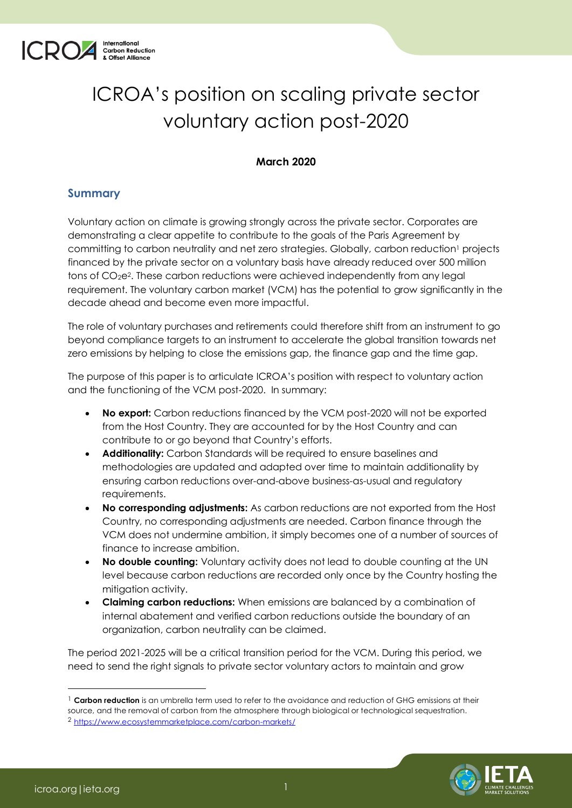

# ICROA's position on scaling private sector voluntary action post-2020

#### **March 2020**

### **Summary**

Voluntary action on climate is growing strongly across the private sector. Corporates are demonstrating a clear appetite to contribute to the goals of the Paris Agreement by committing to carbon neutrality and net zero strategies. Globally, carbon reduction<sup>1</sup> projects financed by the private sector on a voluntary basis have already reduced over 500 million tons of CO2e2. These carbon reductions were achieved independently from any legal requirement. The voluntary carbon market (VCM) has the potential to grow significantly in the decade ahead and become even more impactful.

The role of voluntary purchases and retirements could therefore shift from an instrument to go beyond compliance targets to an instrument to accelerate the global transition towards net zero emissions by helping to close the emissions gap, the finance gap and the time gap.

The purpose of this paper is to articulate ICROA's position with respect to voluntary action and the functioning of the VCM post-2020. In summary:

- **No export:** Carbon reductions financed by the VCM post-2020 will not be exported from the Host Country. They are accounted for by the Host Country and can contribute to or go beyond that Country's efforts.
- **Additionality:** Carbon Standards will be required to ensure baselines and methodologies are updated and adapted over time to maintain additionality by ensuring carbon reductions over-and-above business-as-usual and regulatory requirements.
- **No corresponding adjustments:** As carbon reductions are not exported from the Host Country, no corresponding adjustments are needed. Carbon finance through the VCM does not undermine ambition, it simply becomes one of a number of sources of finance to increase ambition.
- **No double counting:** Voluntary activity does not lead to double counting at the UN level because carbon reductions are recorded only once by the Country hosting the mitigation activity.
- **Claiming carbon reductions:** When emissions are balanced by a combination of internal abatement and verified carbon reductions outside the boundary of an organization, carbon neutrality can be claimed.

The period 2021-2025 will be a critical transition period for the VCM. During this period, we need to send the right signals to private sector voluntary actors to maintain and grow

<sup>&</sup>lt;sup>1</sup> Carbon reduction is an umbrella term used to refer to the avoidance and reduction of GHG emissions at their source, and the removal of carbon from the atmosphere through biological or technological sequestration. 2 <https://www.ecosystemmarketplace.com/carbon-markets/>

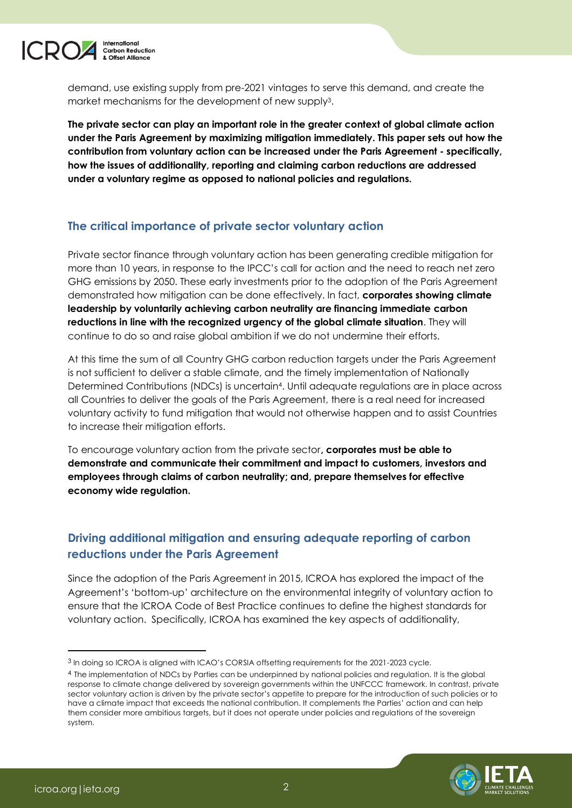

demand, use existing supply from pre-2021 vintages to serve this demand, and create the market mechanisms for the development of new supply3.

**The private sector can play an important role in the greater context of global climate action under the Paris Agreement by maximizing mitigation immediately. This paper sets out how the contribution from voluntary action can be increased under the Paris Agreement - specifically, how the issues of additionality, reporting and claiming carbon reductions are addressed under a voluntary regime as opposed to national policies and regulations.**

### **The critical importance of private sector voluntary action**

Private sector finance through voluntary action has been generating credible mitigation for more than 10 years, in response to the IPCC's call for action and the need to reach net zero GHG emissions by 2050. These early investments prior to the adoption of the Paris Agreement demonstrated how mitigation can be done effectively. In fact, **corporates showing climate leadership by voluntarily achieving carbon neutrality are financing immediate carbon reductions in line with the recognized urgency of the global climate situation**. They will continue to do so and raise global ambition if we do not undermine their efforts.

At this time the sum of all Country GHG carbon reduction targets under the Paris Agreement is not sufficient to deliver a stable climate, and the timely implementation of Nationally Determined Contributions (NDCs) is uncertain4. Until adequate regulations are in place across all Countries to deliver the goals of the Paris Agreement, there is a real need for increased voluntary activity to fund mitigation that would not otherwise happen and to assist Countries to increase their mitigation efforts.

To encourage voluntary action from the private sector**, corporates must be able to demonstrate and communicate their commitment and impact to customers, investors and employees through claims of carbon neutrality; and, prepare themselves for effective economy wide regulation.**

### **Driving additional mitigation and ensuring adequate reporting of carbon reductions under the Paris Agreement**

Since the adoption of the Paris Agreement in 2015, ICROA has explored the impact of the Agreement's 'bottom-up' architecture on the environmental integrity of voluntary action to ensure that the ICROA Code of Best Practice continues to define the highest standards for voluntary action. Specifically, ICROA has examined the key aspects of additionality,

<sup>4</sup> The implementation of NDCs by Parties can be underpinned by national policies and regulation. It is the global response to climate change delivered by sovereign governments within the UNFCCC framework. In contrast, private sector voluntary action is driven by the private sector's appetite to prepare for the introduction of such policies or to have a climate impact that exceeds the national contribution. It complements the Parties' action and can help them consider more ambitious targets, but it does not operate under policies and regulations of the sovereign system.



<sup>3</sup> In doing so ICROA is aligned with ICAO's CORSIA offsetting requirements for the 2021-2023 cycle.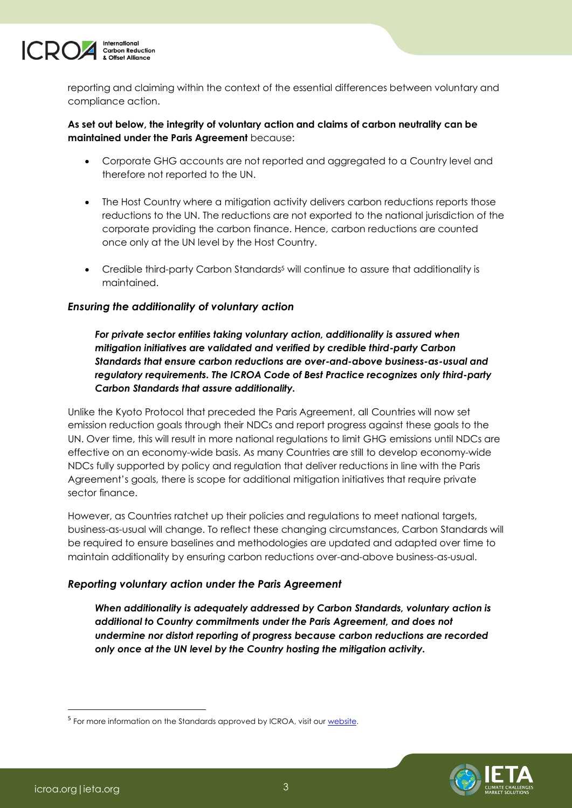

reporting and claiming within the context of the essential differences between voluntary and compliance action.

#### **As set out below, the integrity of voluntary action and claims of carbon neutrality can be maintained under the Paris Agreement** because:

- Corporate GHG accounts are not reported and aggregated to a Country level and therefore not reported to the UN.
- The Host Country where a mitigation activity delivers carbon reductions reports those reductions to the UN. The reductions are not exported to the national jurisdiction of the corporate providing the carbon finance. Hence, carbon reductions are counted once only at the UN level by the Host Country.
- Credible third-party Carbon Standards<sup>5</sup> will continue to assure that additionality is maintained.

#### *Ensuring the additionality of voluntary action*

*For private sector entities taking voluntary action, additionality is assured when mitigation initiatives are validated and verified by credible third-party Carbon Standards that ensure carbon reductions are over-and-above business-as-usual and regulatory requirements. The ICROA Code of Best Practice recognizes only third-party Carbon Standards that assure additionality.* 

Unlike the Kyoto Protocol that preceded the Paris Agreement, all Countries will now set emission reduction goals through their NDCs and report progress against these goals to the UN. Over time, this will result in more national regulations to limit GHG emissions until NDCs are effective on an economy-wide basis. As many Countries are still to develop economy-wide NDCs fully supported by policy and regulation that deliver reductions in line with the Paris Agreement's goals, there is scope for additional mitigation initiatives that require private sector finance.

However, as Countries ratchet up their policies and regulations to meet national targets, business-as-usual will change. To reflect these changing circumstances, Carbon Standards will be required to ensure baselines and methodologies are updated and adapted over time to maintain additionality by ensuring carbon reductions over-and-above business-as-usual.

#### *Reporting voluntary action under the Paris Agreement*

*When additionality is adequately addressed by Carbon Standards, voluntary action is additional to Country commitments under the Paris Agreement, and does not undermine nor distort reporting of progress because carbon reductions are recorded only once at the UN level by the Country hosting the mitigation activity.*



<sup>&</sup>lt;sup>5</sup> For more information on the Standards approved by ICROA, visit our [website.](https://www.icroa.org/The-ICROA-Code-of-Best-Practice/)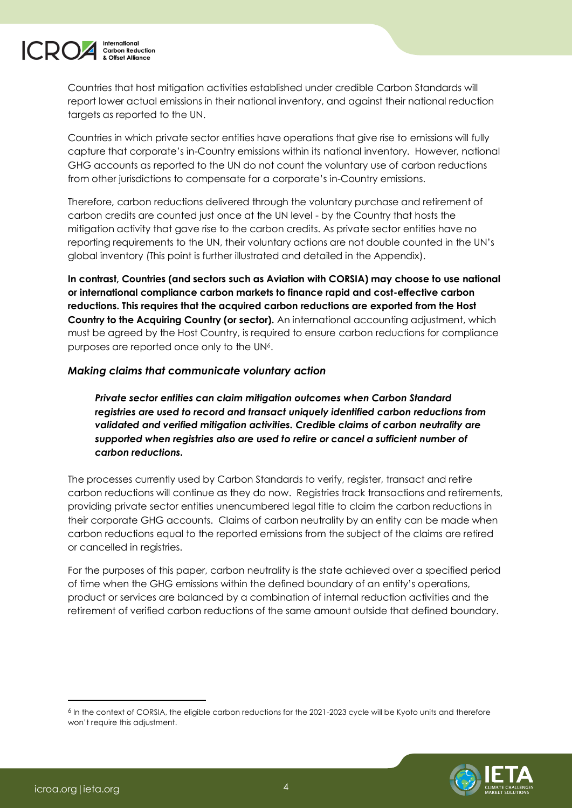

Countries that host mitigation activities established under credible Carbon Standards will report lower actual emissions in their national inventory, and against their national reduction targets as reported to the UN.

Countries in which private sector entities have operations that give rise to emissions will fully capture that corporate's in-Country emissions within its national inventory. However, national GHG accounts as reported to the UN do not count the voluntary use of carbon reductions from other jurisdictions to compensate for a corporate's in-Country emissions.

Therefore, carbon reductions delivered through the voluntary purchase and retirement of carbon credits are counted just once at the UN level - by the Country that hosts the mitigation activity that gave rise to the carbon credits. As private sector entities have no reporting requirements to the UN, their voluntary actions are not double counted in the UN's global inventory (This point is further illustrated and detailed in the Appendix).

**In contrast, Countries (and sectors such as Aviation with CORSIA) may choose to use national or international compliance carbon markets to finance rapid and cost-effective carbon reductions. This requires that the acquired carbon reductions are exported from the Host Country to the Acquiring Country (or sector).** An international accounting adjustment, which must be agreed by the Host Country, is required to ensure carbon reductions for compliance purposes are reported once only to the UN6.

#### *Making claims that communicate voluntary action*

*Private sector entities can claim mitigation outcomes when Carbon Standard registries are used to record and transact uniquely identified carbon reductions from validated and verified mitigation activities. Credible claims of carbon neutrality are supported when registries also are used to retire or cancel a sufficient number of carbon reductions.*

The processes currently used by Carbon Standards to verify, register, transact and retire carbon reductions will continue as they do now. Registries track transactions and retirements, providing private sector entities unencumbered legal title to claim the carbon reductions in their corporate GHG accounts. Claims of carbon neutrality by an entity can be made when carbon reductions equal to the reported emissions from the subject of the claims are retired or cancelled in registries.

For the purposes of this paper, carbon neutrality is the state achieved over a specified period of time when the GHG emissions within the defined boundary of an entity's operations, product or services are balanced by a combination of internal reduction activities and the retirement of verified carbon reductions of the same amount outside that defined boundary.

<sup>6</sup> In the context of CORSIA, the eligible carbon reductions for the 2021-2023 cycle will be Kyoto units and therefore won't require this adjustment.

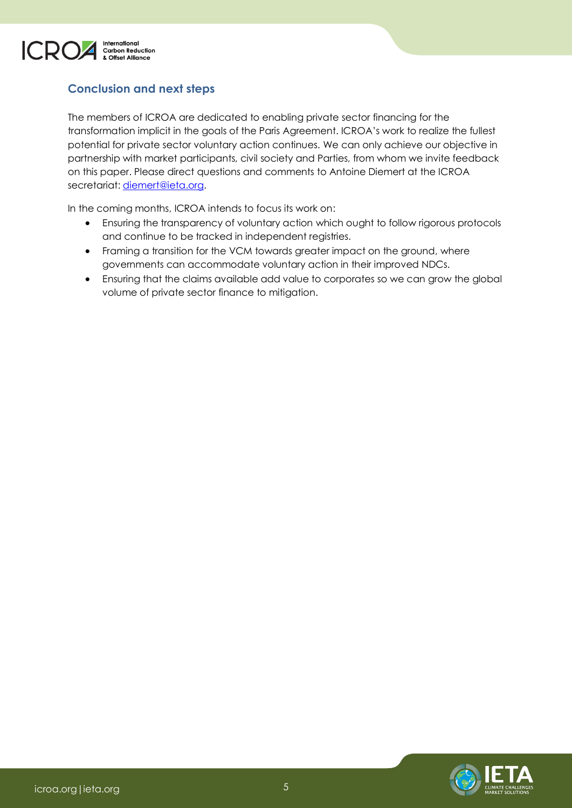

### **Conclusion and next steps**

The members of ICROA are dedicated to enabling private sector financing for the transformation implicit in the goals of the Paris Agreement. ICROA's work to realize the fullest potential for private sector voluntary action continues. We can only achieve our objective in partnership with market participants, civil society and Parties, from whom we invite feedback on this paper. Please direct questions and comments to Antoine Diemert at the ICROA secretariat: [diemert@ieta.org.](mailto:diemert@ieta.org)

In the coming months, ICROA intends to focus its work on:

- Ensuring the transparency of voluntary action which ought to follow rigorous protocols and continue to be tracked in independent registries.
- Framing a transition for the VCM towards greater impact on the ground, where governments can accommodate voluntary action in their improved NDCs.
- Ensuring that the claims available add value to corporates so we can grow the global volume of private sector finance to mitigation.

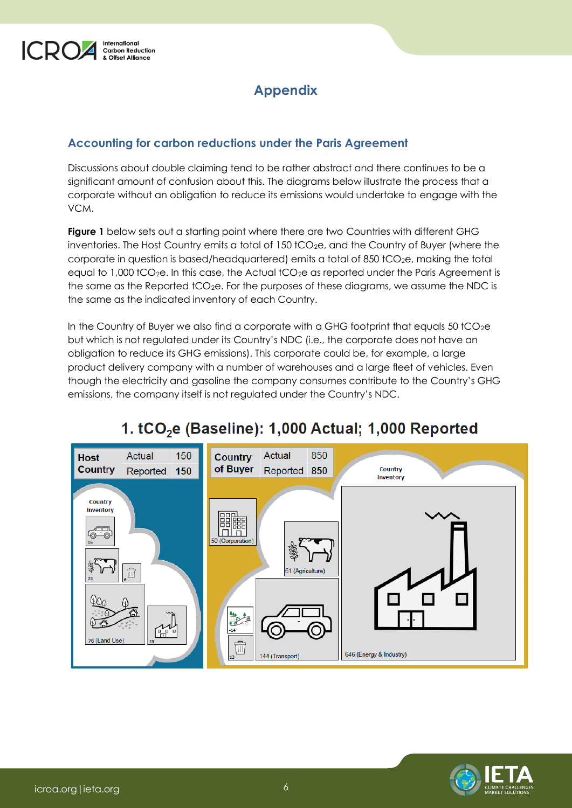

## **Appendix**

### **Accounting for carbon reductions under the Paris Agreement**

Discussions about double claiming tend to be rather abstract and there continues to be a significant amount of confusion about this. The diagrams below illustrate the process that a corporate without an obligation to reduce its emissions would undertake to engage with the VCM.

**Figure 1** below sets out a starting point where there are two Countries with different GHG inventories. The Host Country emits a total of 150 tCO<sub>2</sub>e, and the Country of Buyer (where the corporate in question is based/headquartered) emits a total of 850 tCO<sub>2</sub>e, making the total equal to  $1,000$  tCO<sub>2</sub>e. In this case, the Actual tCO<sub>2</sub>e as reported under the Paris Agreement is the same as the Reported tCO<sub>2</sub>e. For the purposes of these diagrams, we assume the NDC is the same as the indicated inventory of each Country.

In the Country of Buyer we also find a corporate with a GHG footprint that equals 50 tCO $_2$ e but which is not regulated under its Country's NDC (i.e., the corporate does not have an obligation to reduce its GHG emissions). This corporate could be, for example, a large product delivery company with a number of warehouses and a large fleet of vehicles. Even though the electricity and gasoline the company consumes contribute to the Country's GHG emissions, the company itself is not regulated under the Country's NDC.



# 1. tCO<sub>2</sub>e (Baseline): 1,000 Actual; 1,000 Reported

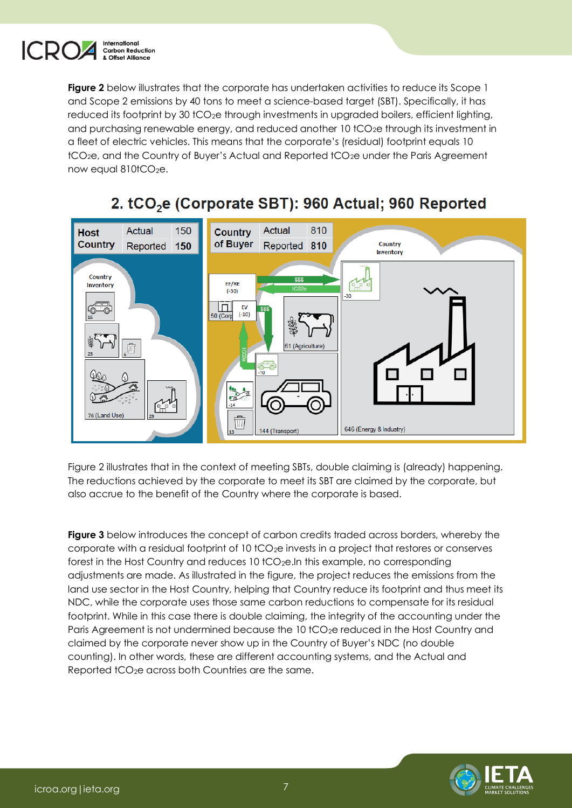

**Figure 2** below illustrates that the corporate has undertaken activities to reduce its Scope 1 and Scope 2 emissions by 40 tons to meet a science-based target (SBT). Specifically, it has reduced its footprint by 30 tCO<sub>2</sub>e through investments in upgraded boilers, efficient lighting, and purchasing renewable energy, and reduced another 10 tCO<sub>2</sub>e through its investment in a fleet of electric vehicles. This means that the corporate's (residual) footprint equals 10 tCO2e, and the Country of Buyer's Actual and Reported tCO2e under the Paris Agreement now equal  $810$ t $CO<sub>2</sub>e$ .



# 2. tCO<sub>2</sub>e (Corporate SBT): 960 Actual; 960 Reported

Figure 2 illustrates that in the context of meeting SBTs, double claiming is (already) happening. The reductions achieved by the corporate to meet its SBT are claimed by the corporate, but also accrue to the benefit of the Country where the corporate is based.

**Figure 3** below introduces the concept of carbon credits traded across borders, whereby the corporate with a residual footprint of 10 tCO2e invests in a project that restores or conserves forest in the Host Country and reduces 10 tCO2e.In this example, no corresponding adjustments are made. As illustrated in the figure, the project reduces the emissions from the land use sector in the Host Country, helping that Country reduce its footprint and thus meet its NDC, while the corporate uses those same carbon reductions to compensate for its residual footprint. While in this case there is double claiming, the integrity of the accounting under the Paris Agreement is not undermined because the 10 tCO<sub>2</sub>e reduced in the Host Country and claimed by the corporate never show up in the Country of Buyer's NDC (no double counting). In other words, these are different accounting systems, and the Actual and Reported tCO<sub>2</sub>e across both Countries are the same.

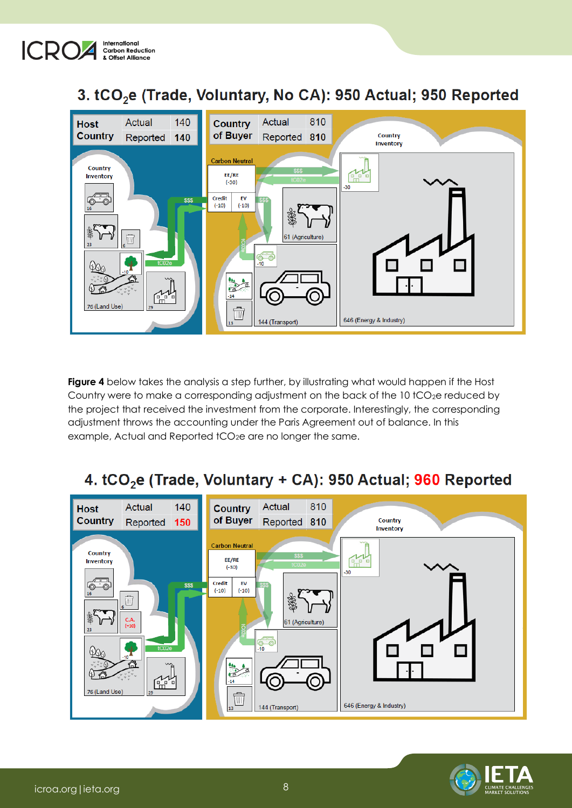

# 3. tCO<sub>2</sub>e (Trade, Voluntary, No CA): 950 Actual; 950 Reported



**Figure 4** below takes the analysis a step further, by illustrating what would happen if the Host Country were to make a corresponding adjustment on the back of the  $10$  tCO<sub>2</sub>e reduced by the project that received the investment from the corporate. Interestingly, the corresponding adjustment throws the accounting under the Paris Agreement out of balance. In this example, Actual and Reported tCO<sub>2</sub>e are no longer the same.

# 4. tCO<sub>2</sub>e (Trade, Voluntary + CA): 950 Actual; 960 Reported